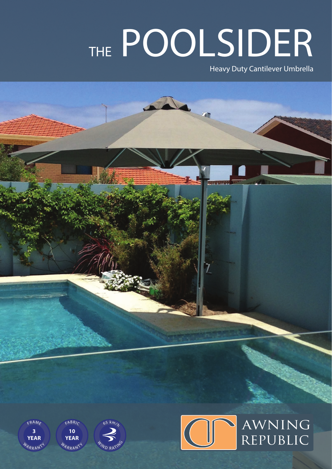## THE POOLSIDER

Heavy Duty Cantilever Umbrella



WARRANTY **YEAR**